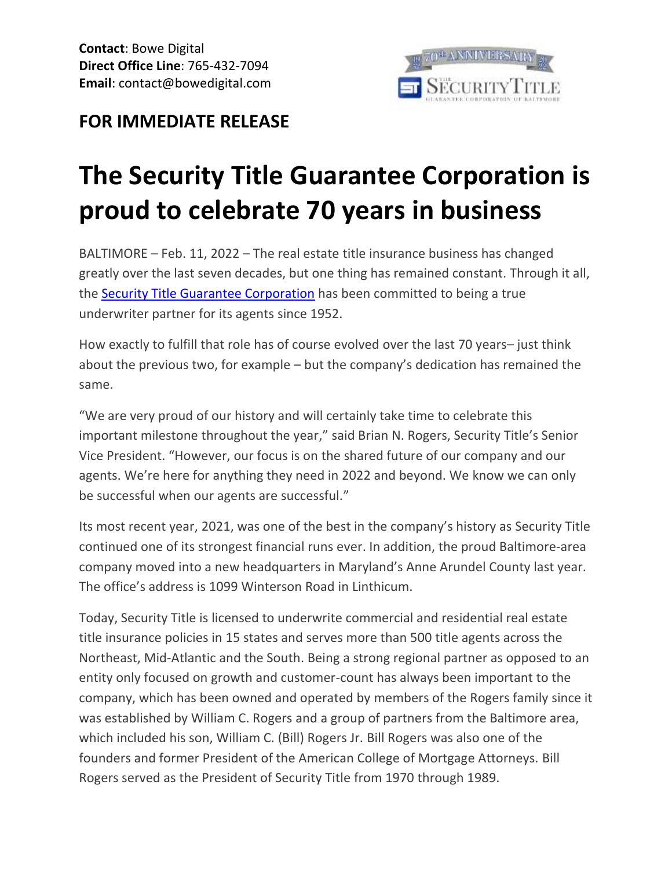

## **FOR IMMEDIATE RELEASE**

## **The Security Title Guarantee Corporation is proud to celebrate 70 years in business**

BALTIMORE – Feb. 11, 2022 – The real estate title insurance business has changed greatly over the last seven decades, but one thing has remained constant. Through it all, the [Security Title Guarantee Corporation](http://www.esecuritytitle.com/) has been committed to being a true underwriter partner for its agents since 1952.

How exactly to fulfill that role has of course evolved over the last 70 years– just think about the previous two, for example – but the company's dedication has remained the same.

"We are very proud of our history and will certainly take time to celebrate this important milestone throughout the year," said Brian N. Rogers, Security Title's Senior Vice President. "However, our focus is on the shared future of our company and our agents. We're here for anything they need in 2022 and beyond. We know we can only be successful when our agents are successful."

Its most recent year, 2021, was one of the best in the company's history as Security Title continued one of its strongest financial runs ever. In addition, the proud Baltimore-area company moved into a new headquarters in Maryland's Anne Arundel County last year. The office's address is 1099 Winterson Road in Linthicum.

Today, Security Title is licensed to underwrite commercial and residential real estate title insurance policies in 15 states and serves more than 500 title agents across the Northeast, Mid-Atlantic and the South. Being a strong regional partner as opposed to an entity only focused on growth and customer-count has always been important to the company, which has been owned and operated by members of the Rogers family since it was established by William C. Rogers and a group of partners from the Baltimore area, which included his son, William C. (Bill) Rogers Jr. Bill Rogers was also one of the founders and former President of the American College of Mortgage Attorneys. Bill Rogers served as the President of Security Title from 1970 through 1989.